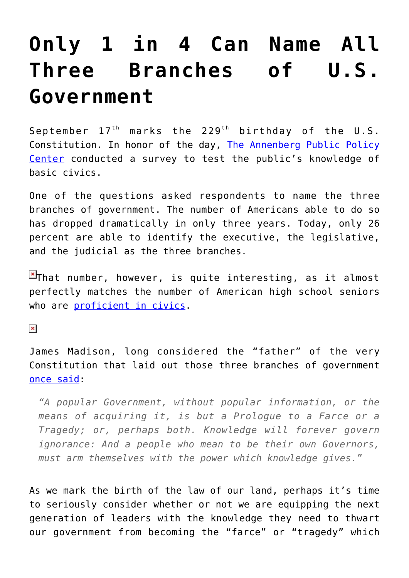## **[Only 1 in 4 Can Name All](https://intellectualtakeout.org/2016/09/only-1-in-4-can-name-all-three-branches-of-u-s-government/) [Three Branches of U.S.](https://intellectualtakeout.org/2016/09/only-1-in-4-can-name-all-three-branches-of-u-s-government/) [Government](https://intellectualtakeout.org/2016/09/only-1-in-4-can-name-all-three-branches-of-u-s-government/)**

September  $17<sup>th</sup>$  marks the 229<sup>th</sup> birthday of the U.S. Constitution. In honor of the day, [The Annenberg Public Policy](http://www.annenbergpublicpolicycenter.org/americans-knowledge-of-the-branches-of-government-is-declining/) [Center](http://www.annenbergpublicpolicycenter.org/americans-knowledge-of-the-branches-of-government-is-declining/) conducted a survey to test the public's knowledge of basic civics.

One of the questions asked respondents to name the three branches of government. The number of Americans able to do so has dropped dramatically in only three years. Today, only 26 percent are able to identify the executive, the legislative, and the judicial as the three branches.

 $\overline{P}$ That number, however, is quite interesting, as it almost perfectly matches the number of American high school seniors who are [proficient in civics](http://www.nationsreportcard.gov/).

 $\pmb{\times}$ 

James Madison, long considered the "father" of the very Constitution that laid out those three branches of government [once said:](http://press-pubs.uchicago.edu/founders/documents/v1ch18s35.html)

*"A popular Government, without popular information, or the means of acquiring it, is but a Prologue to a Farce or a Tragedy; or, perhaps both. Knowledge will forever govern ignorance: And a people who mean to be their own Governors, must arm themselves with the power which knowledge gives."*

As we mark the birth of the law of our land, perhaps it's time to seriously consider whether or not we are equipping the next generation of leaders with the knowledge they need to thwart our government from becoming the "farce" or "tragedy" which